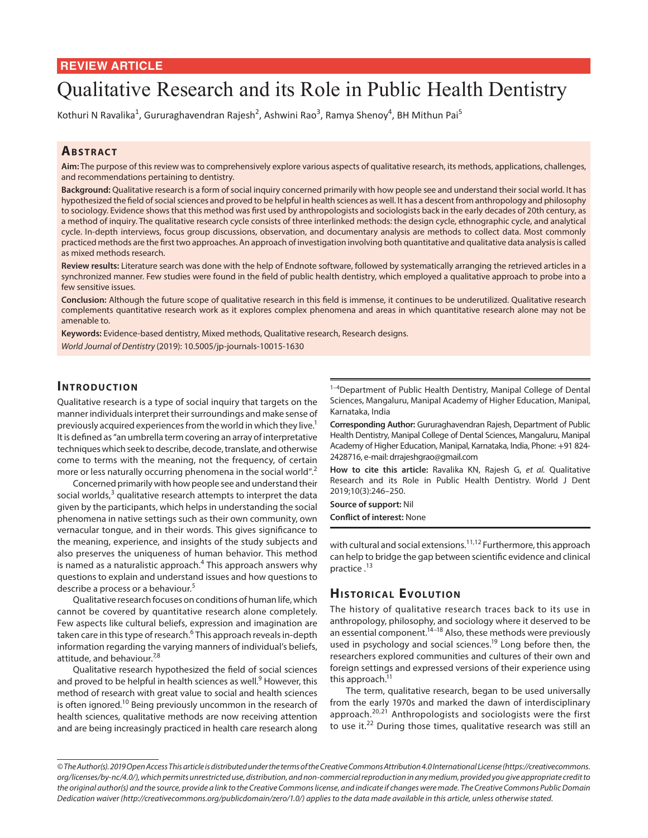# Qualitative Research and its Role in Public Health Dentistry

Kothuri N Ravalika<sup>1</sup>, Gururaghavendran Rajesh<sup>2</sup>, Ashwini Rao<sup>3</sup>, Ramya Shenoy<sup>4</sup>, BH Mithun Pai<sup>5</sup>

## **ABSTRACT**

**Aim:** The purpose of this review was to comprehensively explore various aspects of qualitative research, its methods, applications, challenges, and recommendations pertaining to dentistry.

**Background:** Qualitative research is a form of social inquiry concerned primarily with how people see and understand their social world. It has hypothesized the field of social sciences and proved to be helpful in health sciences as well. It has a descent from anthropology and philosophy to sociology. Evidence shows that this method was first used by anthropologists and sociologists back in the early decades of 20th century, as a method of inquiry. The qualitative research cycle consists of three interlinked methods: the design cycle, ethnographic cycle, and analytical cycle. In-depth interviews, focus group discussions, observation, and documentary analysis are methods to collect data. Most commonly practiced methods are the first two approaches. An approach of investigation involving both quantitative and qualitative data analysis is called as mixed methods research.

**Review results:** Literature search was done with the help of Endnote software, followed by systematically arranging the retrieved articles in a synchronized manner. Few studies were found in the field of public health dentistry, which employed a qualitative approach to probe into a few sensitive issues.

**Conclusion:** Although the future scope of qualitative research in this field is immense, it continues to be underutilized. Qualitative research complements quantitative research work as it explores complex phenomena and areas in which quantitative research alone may not be amenable to.

**Keywords:** Evidence-based dentistry, Mixed methods, Qualitative research, Research designs. *World Journal of Dentistry* (2019): 10.5005/jp-journals-10015-1630

## **INTRODUCTION**

Qualitative research is a type of social inquiry that targets on the manner individuals interpret their surroundings and make sense of previously acquired experiences from the world in which they live.<sup>1</sup> It is defined as "an umbrella term covering an array of interpretative techniques which seek to describe, decode, translate, and otherwise come to terms with the meaning, not the frequency, of certain more or less naturally occurring phenomena in the social world".<sup>2</sup>

Concerned primarily with how people see and understand their social worlds,<sup>3</sup> qualitative research attempts to interpret the data given by the participants, which helps in understanding the social phenomena in native settings such as their own community, own vernacular tongue, and in their words. This gives significance to the meaning, experience, and insights of the study subjects and also preserves the uniqueness of human behavior. This method is named as a naturalistic approach.<sup>4</sup> This approach answers why questions to explain and understand issues and how questions to describe a process or a behaviour.<sup>5</sup>

Qualitative research focuses on conditions of human life, which cannot be covered by quantitative research alone completely. Few aspects like cultural beliefs, expression and imagination are taken care in this type of research.<sup>6</sup> This approach reveals in-depth information regarding the varying manners of individual's beliefs, attitude, and behaviour.<sup>7,8</sup>

Qualitative research hypothesized the field of social sciences and proved to be helpful in health sciences as well.<sup>9</sup> However, this method of research with great value to social and health sciences is often ignored.<sup>10</sup> Being previously uncommon in the research of health sciences, qualitative methods are now receiving attention and are being increasingly practiced in health care research along

<sup>1-4</sup>Department of Public Health Dentistry, Manipal College of Dental Sciences, Mangaluru, Manipal Academy of Higher Education, Manipal, Karnataka, India

**Corresponding Author:** Gururaghavendran Rajesh, Department of Public Health Dentistry, Manipal College of Dental Sciences, Mangaluru, Manipal Academy of Higher Education, Manipal, Karnataka, India, Phone: +91 824- 2428716, e-mail: drrajeshgrao@gmail.com

**How to cite this article:** Ravalika KN, Rajesh G, *et al.* Qualitative Research and its Role in Public Health Dentistry. World J Dent 2019;10(3):246–250.

**Source of support:** Nil

**Conflict of interest:** None

with cultural and social extensions.<sup>11,12</sup> Furthermore, this approach can help to bridge the gap between scientific evidence and clinical practice 13

# **HISTORICAL EVOLUTION**

The history of qualitative research traces back to its use in anthropology, philosophy, and sociology where it deserved to be an essential component.<sup>14-18</sup> Also, these methods were previously used in psychology and social sciences.<sup>19</sup> Long before then, the researchers explored communities and cultures of their own and foreign settings and expressed versions of their experience using this approach. $<sup>1</sup>$ </sup>

The term, qualitative research, began to be used universally from the early 1970s and marked the dawn of interdisciplinary approach.<sup>20,21</sup> Anthropologists and sociologists were the first to use it.<sup>22</sup> During those times, qualitative research was still an

*<sup>©</sup> The Author(s). 2019 Open Access This article is distributed under the terms of the Creative Commons Attribution 4.0 International License (https://creativecommons. org/licenses/by-nc/4.0/), which permits unrestricted use, distribution, and non-commercial reproduction in any medium, provided you give appropriate credit to the original author(s) and the source, provide a link to the Creative Commons license, and indicate if changes were made. The Creative Commons Public Domain Dedication waiver (http://creativecommons.org/publicdomain/zero/1.0/) applies to the data made available in this article, unless otherwise stated.*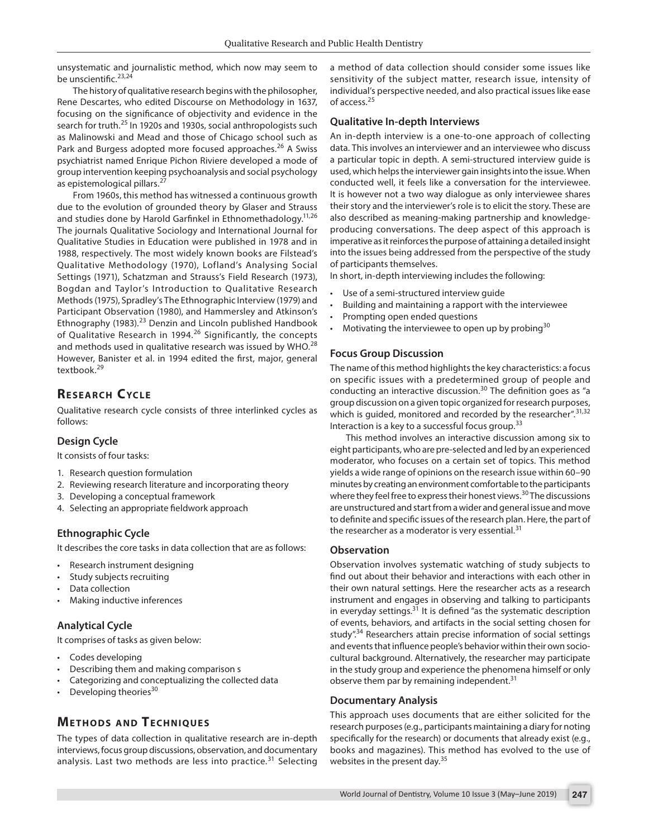unsystematic and journalistic method, which now may seem to be unscientific.<sup>23,24</sup>

The history of qualitative research begins with the philosopher, Rene Descartes, who edited Discourse on Methodology in 1637, focusing on the significance of objectivity and evidence in the search for truth.<sup>25</sup> In 1920s and 1930s, social anthropologists such as Malinowski and Mead and those of Chicago school such as Park and Burgess adopted more focused approaches.<sup>26</sup> A Swiss psychiatrist named Enrique Pichon Riviere developed a mode of group intervention keeping psychoanalysis and social psychology as epistemological pillars.<sup>27</sup>

From 1960s, this method has witnessed a continuous growth due to the evolution of grounded theory by Glaser and Strauss and studies done by Harold Garfinkel in Ethnomethadology.<sup>11,26</sup> The journals Qualitative Sociology and International Journal for Qualitative Studies in Education were published in 1978 and in 1988, respectively. The most widely known books are Filstead's Qualitative Methodology (1970), Lofland's Analysing Social Settings (1971), Schatzman and Strauss's Field Research (1973), Bogdan and Taylor's Introduction to Qualitative Research Methods (1975), Spradley's The Ethnographic Interview (1979) and Participant Observation (1980), and Hammersley and Atkinson's Ethnography (1983).<sup>23</sup> Denzin and Lincoln published Handbook of Qualitative Research in 1994.<sup>26</sup> Significantly, the concepts and methods used in qualitative research was issued by WHO. $^{28}$ However, Banister et al. in 1994 edited the first, major, general textbook<sup>29</sup>

# **RESEARCH CYCLE**

Qualitative research cycle consists of three interlinked cycles as follows:

#### **Design Cycle**

It consists of four tasks:

- 1. Research question formulation
- 2. Reviewing research literature and incorporating theory
- 3. Developing a conceptual framework
- 4. Selecting an appropriate fieldwork approach

#### **Ethnographic Cycle**

It describes the core tasks in data collection that are as follows:

- Research instrument designing
- Study subjects recruiting
- Data collection
- Making inductive inferences

#### **Analytical Cycle**

It comprises of tasks as given below:

- Codes developing
- Describing them and making comparison s
- Categorizing and conceptualizing the collected data
- Developing theories<sup>30</sup>

# **METHODS AND TECHNIQUES**

The types of data collection in qualitative research are in-depth interviews, focus group discussions, observation, and documentary analysis. Last two methods are less into practice.<sup>31</sup> Selecting

a method of data collection should consider some issues like sensitivity of the subject matter, research issue, intensity of individual's perspective needed, and also practical issues like ease of access.<sup>25</sup>

#### **Qualitative In-depth Interviews**

An in-depth interview is a one-to-one approach of collecting data. This involves an interviewer and an interviewee who discuss a particular topic in depth. A semi-structured interview guide is used, which helps the interviewer gain insights into the issue. When conducted well, it feels like a conversation for the interviewee. It is however not a two way dialogue as only interviewee shares their story and the interviewer's role is to elicit the story. These are also described as meaning-making partnership and knowledgeproducing conversations. The deep aspect of this approach is imperative as it reinforces the purpose of attaining a detailed insight into the issues being addressed from the perspective of the study of participants themselves.

In short, in-depth interviewing includes the following:

- Use of a semi-structured interview quide
- Building and maintaining a rapport with the interviewee
- Prompting open ended questions
- Motivating the interviewee to open up by probing<sup>30</sup>

#### **Focus Group Discussion**

The name of this method highlights the key characteristics: a focus on specific issues with a predetermined group of people and conducting an interactive discussion.<sup>30</sup> The definition goes as "a group discussion on a given topic organized for research purposes, which is guided, monitored and recorded by the researcher".  $31,32$ Interaction is a key to a successful focus group.<sup>33</sup>

This method involves an interactive discussion among six to eight participants, who are pre-selected and led by an experienced moderator, who focuses on a certain set of topics. This method yields a wide range of opinions on the research issue within 60–90 minutes by creating an environment comfortable to the participants where they feel free to express their honest views.<sup>30</sup> The discussions are unstructured and start from a wider and general issue and move to definite and specific issues of the research plan. Here, the part of the researcher as a moderator is very essential.<sup>31</sup>

#### **Observation**

Observation involves systematic watching of study subjects to find out about their behavior and interactions with each other in their own natural settings. Here the researcher acts as a research instrument and engages in observing and talking to participants in everyday settings. $31$  It is defined "as the systematic description of events, behaviors, and artifacts in the social setting chosen for study".<sup>34</sup> Researchers attain precise information of social settings and events that influence people's behavior within their own sociocultural background. Alternatively, the researcher may participate in the study group and experience the phenomena himself or only observe them par by remaining independent.<sup>31</sup>

#### **Documentary Analysis**

This approach uses documents that are either solicited for the research purposes (e.g., participants maintaining a diary for noting specifically for the research) or documents that already exist (e.g., books and magazines). This method has evolved to the use of websites in the present day.<sup>35</sup>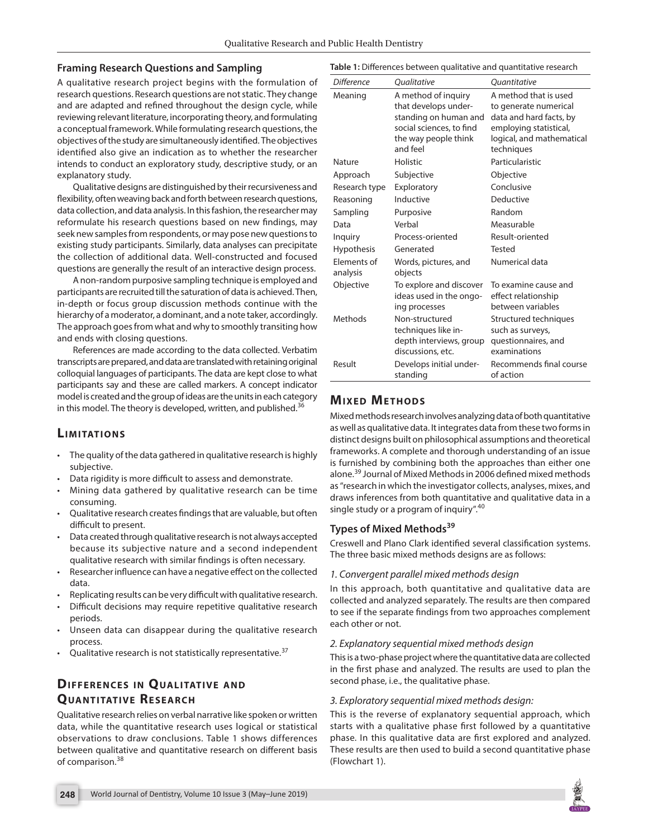## **Framing Research Questions and Sampling**

A qualitative research project begins with the formulation of research questions. Research questions are not static. They change and are adapted and refined throughout the design cycle, while reviewing relevant literature, incorporating theory, and formulating a conceptual framework. While formulating research questions, the objectives of the study are simultaneously identified. The objectives identified also give an indication as to whether the researcher intends to conduct an exploratory study, descriptive study, or an explanatory study.

Qualitative designs are distinguished by their recursiveness and flexibility, often weaving back and forth between research questions, data collection, and data analysis. In this fashion, the researcher may reformulate his research questions based on new findings, may seek new samples from respondents, or may pose new questions to existing study participants. Similarly, data analyses can precipitate the collection of additional data. Well-constructed and focused questions are generally the result of an interactive design process.

A non-random purposive sampling technique is employed and participants are recruited till the saturation of data is achieved. Then, in-depth or focus group discussion methods continue with the hierarchy of a moderator, a dominant, and a note taker, accordingly. The approach goes from what and why to smoothly transiting how and ends with closing questions.

References are made according to the data collected. Verbatim transcripts are prepared, and data are translated with retaining original colloquial languages of participants. The data are kept close to what participants say and these are called markers. A concept indicator model is created and the group of ideas are the units in each category in this model. The theory is developed, written, and published. $36$ 

# **LIMITATIONS**

- The quality of the data gathered in qualitative research is highly subjective.
- Data rigidity is more difficult to assess and demonstrate.
- Mining data gathered by qualitative research can be time consuming.
- Qualitative research creates findings that are valuable, but often difficult to present.
- Data created through qualitative research is not always accepted because its subjective nature and a second independent qualitative research with similar findings is often necessary.
- Researcher influence can have a negative effect on the collected data.
- Replicating results can be very difficult with qualitative research.
- Difficult decisions may require repetitive qualitative research periods.
- Unseen data can disappear during the qualitative research process.
- Qualitative research is not statistically representative.<sup>37</sup>

# **DIFFERENCES IN QUALITATIVE AND QUANTITATIVE RESEARCH**

Qualitative research relies on verbal narrative like spoken or written data, while the quantitative research uses logical or statistical observations to draw conclusions. Table 1 shows differences between qualitative and quantitative research on different basis of comparison.<sup>38</sup>

**Table 1:** Differences between qualitative and quantitative research

| Difference              | <b>Oualitative</b>              | <b>Ouantitative</b>       |
|-------------------------|---------------------------------|---------------------------|
| Meaning                 | A method of inquiry             | A method that is used     |
|                         | that develops under-            | to generate numerical     |
|                         | standing on human and           | data and hard facts, by   |
|                         | social sciences, to find        | employing statistical,    |
|                         | the way people think            | logical, and mathematical |
|                         | and feel                        | techniques                |
| Nature                  | Holistic                        | Particularistic           |
| Approach                | Subjective                      | Objective                 |
| Research type           | Exploratory                     | Conclusive                |
| Reasoning               | Inductive                       | Deductive                 |
| Sampling                | Purposive                       | Random                    |
| Data                    | Verbal                          | Measurable                |
| Inquiry                 | Process-oriented                | Result-oriented           |
| Hypothesis              | Generated                       | Tested                    |
| Flements of<br>analysis | Words, pictures, and<br>objects | Numerical data            |
| Objective               | To explore and discover         | To examine cause and      |
|                         | ideas used in the ongo-         | effect relationship       |
|                         | ing processes                   | between variables         |
| Methods                 | Non-structured                  | Structured techniques     |
|                         | techniques like in-             | such as surveys,          |
|                         | depth interviews, group         | questionnaires, and       |
|                         | discussions, etc.               | examinations              |
| Result                  | Develops initial under-         | Recommends final course   |
|                         | standing                        | of action                 |

# **MIXED METHODS**

Mixed methods research involves analyzing data of both quantitative as well as qualitative data. It integrates data from these two forms in distinct designs built on philosophical assumptions and theoretical frameworks. A complete and thorough understanding of an issue is furnished by combining both the approaches than either one alone.<sup>39</sup> Journal of Mixed Methods in 2006 defined mixed methods as "research in which the investigator collects, analyses, mixes, and draws inferences from both quantitative and qualitative data in a single study or a program of inquiry".<sup>40</sup>

# **Types of Mixed Methods39**

Creswell and Plano Clark identified several classification systems. The three basic mixed methods designs are as follows:

## *1. Convergent parallel mixed methods design*

In this approach, both quantitative and qualitative data are collected and analyzed separately. The results are then compared to see if the separate findings from two approaches complement each other or not.

## *2. Explanatory sequential mixed methods design*

This is a two-phase project where the quantitative data are collected in the first phase and analyzed. The results are used to plan the second phase, i.e., the qualitative phase.

## *3. Exploratory sequential mixed methods design:*

This is the reverse of explanatory sequential approach, which starts with a qualitative phase first followed by a quantitative phase. In this qualitative data are first explored and analyzed. These results are then used to build a second quantitative phase (Flowchart 1).

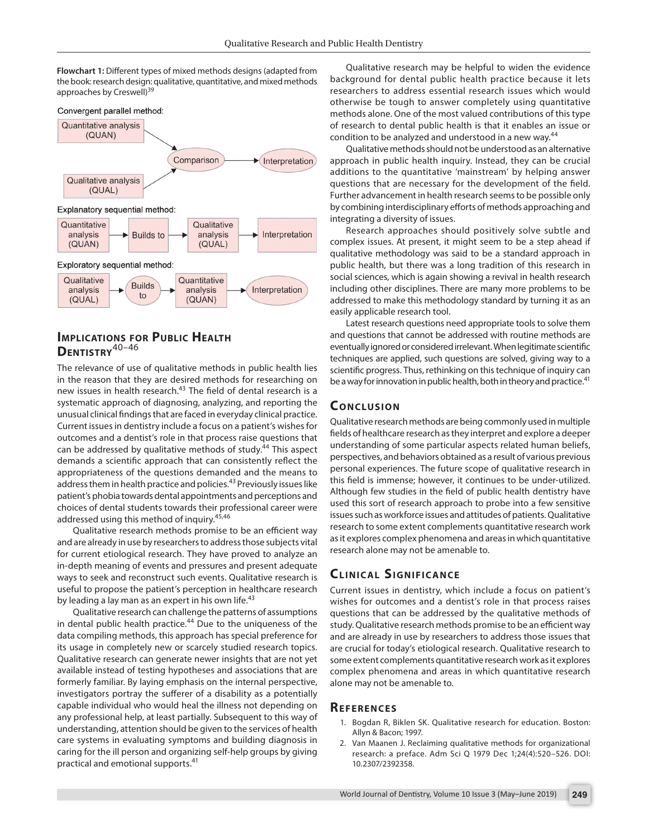**Flowchart 1:** Different types of mixed methods designs (adapted from the book: research design: qualitative, quantitative, and mixed methods approaches by Creswell)<sup>39</sup>





## **Implications for Public Health Dentistry**40–46

The relevance of use of qualitative methods in public health lies in the reason that they are desired methods for researching on new issues in health research.<sup>43</sup> The field of dental research is a systematic approach of diagnosing, analyzing, and reporting the unusual clinical findings that are faced in everyday clinical practice. Current issues in dentistry include a focus on a patient's wishes for outcomes and a dentist's role in that process raise questions that can be addressed by qualitative methods of study.<sup>44</sup> This aspect demands a scientific approach that can consistently reflect the appropriateness of the questions demanded and the means to address them in health practice and policies.<sup>43</sup> Previously issues like patient's phobia towards dental appointments and perceptions and choices of dental students towards their professional career were addressed using this method of inquiry.<sup>45,46</sup>

Qualitative research methods promise to be an efficient way and are already in use by researchers to address those subjects vital for current etiological research. They have proved to analyze an in-depth meaning of events and pressures and present adequate ways to seek and reconstruct such events. Qualitative research is useful to propose the patient's perception in healthcare research by leading a lay man as an expert in his own life. $43$ 

Qualitative research can challenge the patterns of assumptions in dental public health practice.<sup>44</sup> Due to the uniqueness of the data compiling methods, this approach has special preference for its usage in completely new or scarcely studied research topics. Qualitative research can generate newer insights that are not yet available instead of testing hypotheses and associations that are formerly familiar. By laying emphasis on the internal perspective, investigators portray the sufferer of a disability as a potentially capable individual who would heal the illness not depending on any professional help, at least partially. Subsequent to this way of understanding, attention should be given to the services of health care systems in evaluating symptoms and building diagnosis in caring for the ill person and organizing self-help groups by giving practical and emotional supports.<sup>41</sup>

Qualitative research may be helpful to widen the evidence background for dental public health practice because it lets researchers to address essential research issues which would otherwise be tough to answer completely using quantitative methods alone. One of the most valued contributions of this type of research to dental public health is that it enables an issue or condition to be analyzed and understood in a new way.<sup>44</sup>

Qualitative methods should not be understood as an alternative approach in public health inquiry. Instead, they can be crucial additions to the quantitative 'mainstream' by helping answer questions that are necessary for the development of the field. Further advancement in health research seems to be possible only by combining interdisciplinary efforts of methods approaching and integrating a diversity of issues.

Research approaches should positively solve subtle and complex issues. At present, it might seem to be a step ahead if qualitative methodology was said to be a standard approach in public health, but there was a long tradition of this research in social sciences, which is again showing a revival in health research including other disciplines. There are many more problems to be addressed to make this methodology standard by turning it as an easily applicable research tool.

Latest research questions need appropriate tools to solve them and questions that cannot be addressed with routine methods are eventually ignored or considered irrelevant. When legitimate scientific techniques are applied, such questions are solved, giving way to a scientific progress. Thus, rethinking on this technique of inquiry can be a way for innovation in public health, both in theory and practice.<sup>41</sup>

## **CONCLUSION**

Qualitative research methods are being commonly used in multiple fields of healthcare research as they interpret and explore a deeper understanding of some particular aspects related human beliefs, perspectives, and behaviors obtained as a result of various previous personal experiences. The future scope of qualitative research in this field is immense; however, it continues to be under-utilized. Although few studies in the field of public health dentistry have used this sort of research approach to probe into a few sensitive issues such as workforce issues and attitudes of patients. Qualitative research to some extent complements quantitative research work as it explores complex phenomena and areas in which quantitative research alone may not be amenable to.

## **CLINICAL SIGNIFICANCE**

Current issues in dentistry, which include a focus on patient's wishes for outcomes and a dentist's role in that process raises questions that can be addressed by the qualitative methods of study. Qualitative research methods promise to be an efficient way and are already in use by researchers to address those issues that are crucial for today's etiological research. Qualitative research to some extent complements quantitative research work as it explores complex phenomena and areas in which quantitative research alone may not be amenable to.

#### **Referen ces**

- 1. Bogdan R, Biklen SK. Qualitative research for education. Boston: Allyn & Bacon; 1997.
- 2. Van Maanen J. Reclaiming qualitative methods for organizational research: a preface. Adm Sci Q 1979 Dec 1;24(4):520–526. DOI: 10.2307/2392358.